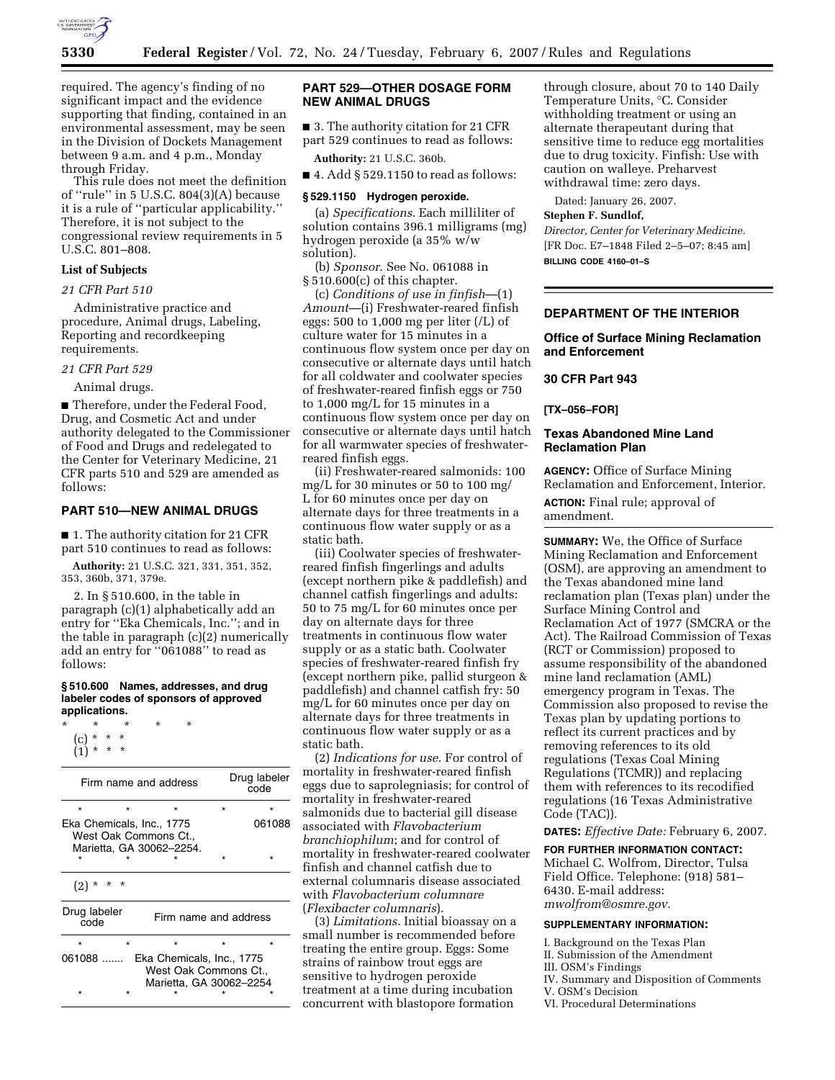

required. The agency's finding of no significant impact and the evidence supporting that finding, contained in an environmental assessment, may be seen in the Division of Dockets Management between 9 a.m. and 4 p.m., Monday through Friday.

This rule does not meet the definition of ''rule'' in 5 U.S.C. 804(3)(A) because it is a rule of ''particular applicability.'' Therefore, it is not subject to the congressional review requirements in 5 U.S.C. 801–808.

# **List of Subjects**

## *21 CFR Part 510*

Administrative practice and procedure, Animal drugs, Labeling, Reporting and recordkeeping requirements.

### *21 CFR Part 529*

Animal drugs.

■ Therefore, under the Federal Food, Drug, and Cosmetic Act and under authority delegated to the Commissioner of Food and Drugs and redelegated to the Center for Veterinary Medicine, 21 CFR parts 510 and 529 are amended as follows:

## **PART 510—NEW ANIMAL DRUGS**

■ 1. The authority citation for 21 CFR part 510 continues to read as follows:

**Authority:** 21 U.S.C. 321, 331, 351, 352, 353, 360b, 371, 379e.

2. In § 510.600, in the table in paragraph (c)(1) alphabetically add an entry for ''Eka Chemicals, Inc.''; and in the table in paragraph (c)(2) numerically add an entry for ''061088'' to read as follows:

#### **§ 510.600 Names, addresses, and drug labeler codes of sponsors of approved applications.**

| $\star$ | $\star$       |  | ÷ |  |
|---------|---------------|--|---|--|
|         | $(c) * * * *$ |  |   |  |
|         | $(1) * * * *$ |  |   |  |

| Firm name and address                                                                     |                       | Drug labeler<br>code |  |  |  |  |
|-------------------------------------------------------------------------------------------|-----------------------|----------------------|--|--|--|--|
|                                                                                           |                       |                      |  |  |  |  |
| Eka Chemicals, Inc., 1775<br>061088<br>West Oak Commons Ct<br>Marietta, GA 30062-2254.    |                       |                      |  |  |  |  |
|                                                                                           |                       |                      |  |  |  |  |
| (2)                                                                                       |                       |                      |  |  |  |  |
| Drug labeler<br>code                                                                      | Firm name and address |                      |  |  |  |  |
| $\star$                                                                                   |                       |                      |  |  |  |  |
| $061088$<br>Eka Chemicals, Inc., 1775<br>West Oak Commons Ct.,<br>Marietta, GA 30062-2254 |                       |                      |  |  |  |  |

## **PART 529—OTHER DOSAGE FORM NEW ANIMAL DRUGS**

■ 3. The authority citation for 21 CFR part 529 continues to read as follows:

**Authority:** 21 U.S.C. 360b.

#### $\blacksquare$  4. Add § 529.1150 to read as follows:

#### **§ 529.1150 Hydrogen peroxide.**

(a) *Specifications*. Each milliliter of solution contains 396.1 milligrams (mg) hydrogen peroxide (a 35% w/w solution).

(b) *Sponsor*. See No. 061088 in § 510.600(c) of this chapter.

(c) *Conditions of use in finfish*—(1) *Amount*—(i) Freshwater-reared finfish eggs: 500 to 1,000 mg per liter (/L) of culture water for 15 minutes in a continuous flow system once per day on consecutive or alternate days until hatch for all coldwater and coolwater species of freshwater-reared finfish eggs or 750 to 1,000 mg/L for 15 minutes in a continuous flow system once per day on consecutive or alternate days until hatch for all warmwater species of freshwaterreared finfish eggs.

(ii) Freshwater-reared salmonids: 100 mg/L for 30 minutes or 50 to 100 mg/ L for 60 minutes once per day on alternate days for three treatments in a continuous flow water supply or as a static bath.

(iii) Coolwater species of freshwaterreared finfish fingerlings and adults (except northern pike & paddlefish) and channel catfish fingerlings and adults: 50 to 75 mg/L for 60 minutes once per day on alternate days for three treatments in continuous flow water supply or as a static bath. Coolwater species of freshwater-reared finfish fry (except northern pike, pallid sturgeon & paddlefish) and channel catfish fry: 50 mg/L for 60 minutes once per day on alternate days for three treatments in continuous flow water supply or as a static bath.

(2) *Indications for use*. For control of mortality in freshwater-reared finfish eggs due to saprolegniasis; for control of mortality in freshwater-reared salmonids due to bacterial gill disease associated with *Flavobacterium branchiophilum*; and for control of mortality in freshwater-reared coolwater finfish and channel catfish due to external columnaris disease associated with *Flavobacterium columnare*  (*Flexibacter columnaris*).

(3) *Limitations*. Initial bioassay on a small number is recommended before treating the entire group. Eggs: Some strains of rainbow trout eggs are sensitive to hydrogen peroxide treatment at a time during incubation concurrent with blastopore formation

through closure, about 70 to 140 Daily Temperature Units, °C. Consider withholding treatment or using an alternate therapeutant during that sensitive time to reduce egg mortalities due to drug toxicity. Finfish: Use with caution on walleye. Preharvest withdrawal time: zero days.

Dated: January 26, 2007.

#### **Stephen F. Sundlof,**

*Director, Center for Veterinary Medicine.*  [FR Doc. E7–1848 Filed 2–5–07; 8:45 am] **BILLING CODE 4160–01–S** 

## **DEPARTMENT OF THE INTERIOR**

## **Office of Surface Mining Reclamation and Enforcement**

### **30 CFR Part 943**

#### **[TX–056–FOR]**

## **Texas Abandoned Mine Land Reclamation Plan**

**AGENCY:** Office of Surface Mining Reclamation and Enforcement, Interior. **ACTION:** Final rule; approval of

amendment.

**SUMMARY:** We, the Office of Surface Mining Reclamation and Enforcement (OSM), are approving an amendment to the Texas abandoned mine land reclamation plan (Texas plan) under the Surface Mining Control and Reclamation Act of 1977 (SMCRA or the Act). The Railroad Commission of Texas (RCT or Commission) proposed to assume responsibility of the abandoned mine land reclamation (AML) emergency program in Texas. The Commission also proposed to revise the Texas plan by updating portions to reflect its current practices and by removing references to its old regulations (Texas Coal Mining Regulations (TCMR)) and replacing them with references to its recodified regulations (16 Texas Administrative Code (TAC)).

**DATES:** *Effective Date:* February 6, 2007.

### **FOR FURTHER INFORMATION CONTACT:**

Michael C. Wolfrom, Director, Tulsa Field Office. Telephone: (918) 581– 6430. E-mail address: *mwolfrom@osmre.gov.* 

### **SUPPLEMENTARY INFORMATION:**

- I. Background on the Texas Plan
- II. Submission of the Amendment
- III. OSM's Findings
- IV. Summary and Disposition of Comments
- V. OSM's Decision
- VI. Procedural Determinations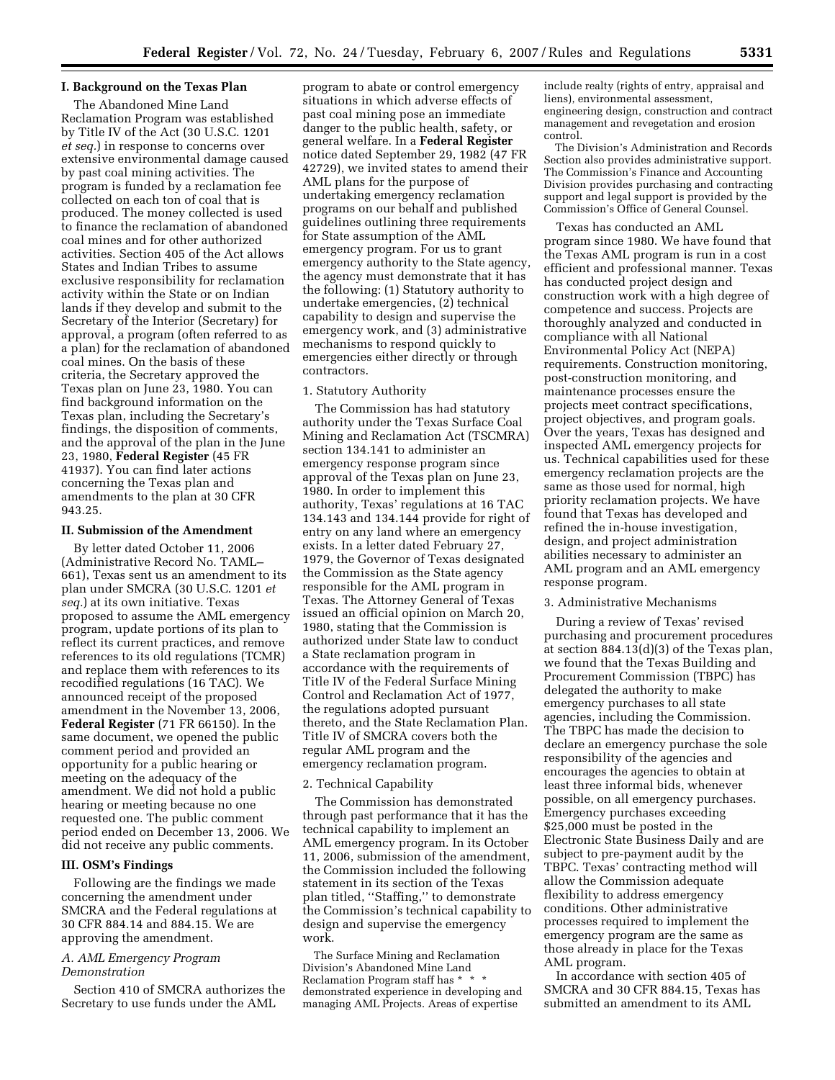## **I. Background on the Texas Plan**

The Abandoned Mine Land Reclamation Program was established by Title IV of the Act (30 U.S.C. 1201 *et seq.*) in response to concerns over extensive environmental damage caused by past coal mining activities. The program is funded by a reclamation fee collected on each ton of coal that is produced. The money collected is used to finance the reclamation of abandoned coal mines and for other authorized activities. Section 405 of the Act allows States and Indian Tribes to assume exclusive responsibility for reclamation activity within the State or on Indian lands if they develop and submit to the Secretary of the Interior (Secretary) for approval, a program (often referred to as a plan) for the reclamation of abandoned coal mines. On the basis of these criteria, the Secretary approved the Texas plan on June 23, 1980. You can find background information on the Texas plan, including the Secretary's findings, the disposition of comments, and the approval of the plan in the June 23, 1980, **Federal Register** (45 FR 41937). You can find later actions concerning the Texas plan and amendments to the plan at 30 CFR 943.25.

### **II. Submission of the Amendment**

By letter dated October 11, 2006 (Administrative Record No. TAML– 661), Texas sent us an amendment to its plan under SMCRA (30 U.S.C. 1201 *et seq.*) at its own initiative. Texas proposed to assume the AML emergency program, update portions of its plan to reflect its current practices, and remove references to its old regulations (TCMR) and replace them with references to its recodified regulations (16 TAC). We announced receipt of the proposed amendment in the November 13, 2006, **Federal Register** (71 FR 66150). In the same document, we opened the public comment period and provided an opportunity for a public hearing or meeting on the adequacy of the amendment. We did not hold a public hearing or meeting because no one requested one. The public comment period ended on December 13, 2006. We did not receive any public comments.

#### **III. OSM's Findings**

Following are the findings we made concerning the amendment under SMCRA and the Federal regulations at 30 CFR 884.14 and 884.15. We are approving the amendment.

### *A. AML Emergency Program Demonstration*

Section 410 of SMCRA authorizes the Secretary to use funds under the AML

program to abate or control emergency situations in which adverse effects of past coal mining pose an immediate danger to the public health, safety, or general welfare. In a **Federal Register**  notice dated September 29, 1982 (47 FR 42729), we invited states to amend their AML plans for the purpose of undertaking emergency reclamation programs on our behalf and published guidelines outlining three requirements for State assumption of the AML emergency program. For us to grant emergency authority to the State agency, the agency must demonstrate that it has the following: (1) Statutory authority to undertake emergencies, (2) technical capability to design and supervise the emergency work, and (3) administrative mechanisms to respond quickly to emergencies either directly or through contractors.

#### 1. Statutory Authority

The Commission has had statutory authority under the Texas Surface Coal Mining and Reclamation Act (TSCMRA) section 134.141 to administer an emergency response program since approval of the Texas plan on June 23, 1980. In order to implement this authority, Texas' regulations at 16 TAC 134.143 and 134.144 provide for right of entry on any land where an emergency exists. In a letter dated February 27, 1979, the Governor of Texas designated the Commission as the State agency responsible for the AML program in Texas. The Attorney General of Texas issued an official opinion on March 20, 1980, stating that the Commission is authorized under State law to conduct a State reclamation program in accordance with the requirements of Title IV of the Federal Surface Mining Control and Reclamation Act of 1977, the regulations adopted pursuant thereto, and the State Reclamation Plan. Title IV of SMCRA covers both the regular AML program and the emergency reclamation program.

#### 2. Technical Capability

The Commission has demonstrated through past performance that it has the technical capability to implement an AML emergency program. In its October 11, 2006, submission of the amendment, the Commission included the following statement in its section of the Texas plan titled, ''Staffing,'' to demonstrate the Commission's technical capability to design and supervise the emergency work.

The Surface Mining and Reclamation Division's Abandoned Mine Land Reclamation Program staff has \* \* \* demonstrated experience in developing and managing AML Projects. Areas of expertise

include realty (rights of entry, appraisal and liens), environmental assessment, engineering design, construction and contract management and revegetation and erosion control.

The Division's Administration and Records Section also provides administrative support. The Commission's Finance and Accounting Division provides purchasing and contracting support and legal support is provided by the Commission's Office of General Counsel.

Texas has conducted an AML program since 1980. We have found that the Texas AML program is run in a cost efficient and professional manner. Texas has conducted project design and construction work with a high degree of competence and success. Projects are thoroughly analyzed and conducted in compliance with all National Environmental Policy Act (NEPA) requirements. Construction monitoring, post-construction monitoring, and maintenance processes ensure the projects meet contract specifications, project objectives, and program goals. Over the years, Texas has designed and inspected AML emergency projects for us. Technical capabilities used for these emergency reclamation projects are the same as those used for normal, high priority reclamation projects. We have found that Texas has developed and refined the in-house investigation, design, and project administration abilities necessary to administer an AML program and an AML emergency response program.

### 3. Administrative Mechanisms

During a review of Texas' revised purchasing and procurement procedures at section 884.13(d)(3) of the Texas plan, we found that the Texas Building and Procurement Commission (TBPC) has delegated the authority to make emergency purchases to all state agencies, including the Commission. The TBPC has made the decision to declare an emergency purchase the sole responsibility of the agencies and encourages the agencies to obtain at least three informal bids, whenever possible, on all emergency purchases. Emergency purchases exceeding \$25,000 must be posted in the Electronic State Business Daily and are subject to pre-payment audit by the TBPC. Texas' contracting method will allow the Commission adequate flexibility to address emergency conditions. Other administrative processes required to implement the emergency program are the same as those already in place for the Texas AML program.

In accordance with section 405 of SMCRA and 30 CFR 884.15, Texas has submitted an amendment to its AML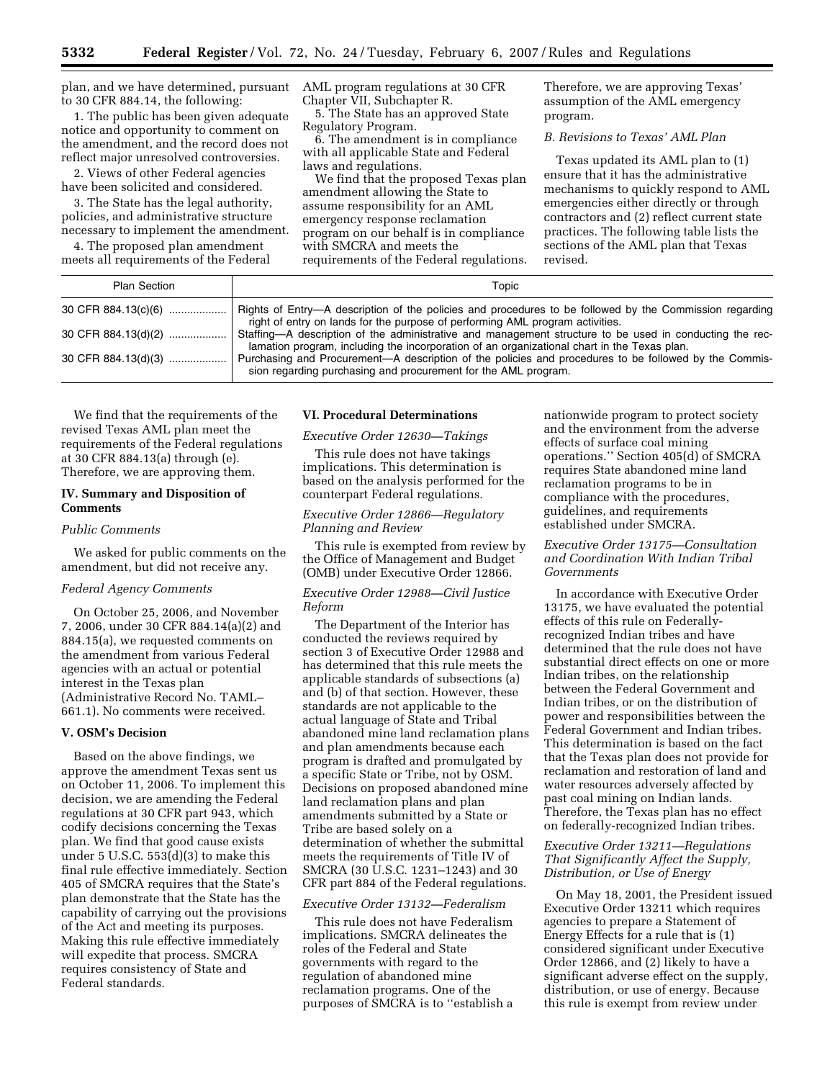plan, and we have determined, pursuant to 30 CFR 884.14, the following:

1. The public has been given adequate notice and opportunity to comment on the amendment, and the record does not reflect major unresolved controversies.

2. Views of other Federal agencies have been solicited and considered.

3. The State has the legal authority, policies, and administrative structure necessary to implement the amendment.

4. The proposed plan amendment meets all requirements of the Federal AML program regulations at 30 CFR Chapter VII, Subchapter R.

5. The State has an approved State Regulatory Program.

6. The amendment is in compliance with all applicable State and Federal laws and regulations.

We find that the proposed Texas plan amendment allowing the State to assume responsibility for an AML emergency response reclamation program on our behalf is in compliance with SMCRA and meets the requirements of the Federal regulations.

Therefore, we are approving Texas' assumption of the AML emergency program.

## *B. Revisions to Texas' AML Plan*

Texas updated its AML plan to (1) ensure that it has the administrative mechanisms to quickly respond to AML emergencies either directly or through contractors and (2) reflect current state practices. The following table lists the sections of the AML plan that Texas revised.

| <b>Plan Section</b> | Topic                                                                                                                                                                                                  |  |  |  |
|---------------------|--------------------------------------------------------------------------------------------------------------------------------------------------------------------------------------------------------|--|--|--|
| 30 CFR 884.13(c)(6) | Rights of Entry—A description of the policies and procedures to be followed by the Commission regarding<br>right of entry on lands for the purpose of performing AML program activities.               |  |  |  |
| 30 CFR 884.13(d)(2) | Staffing—A description of the administrative and management structure to be used in conducting the rec-<br>lamation program, including the incorporation of an organizational chart in the Texas plan. |  |  |  |
|                     | Purchasing and Procurement—A description of the policies and procedures to be followed by the Commis-<br>sion regarding purchasing and procurement for the AML program.                                |  |  |  |

We find that the requirements of the revised Texas AML plan meet the requirements of the Federal regulations at 30 CFR 884.13(a) through (e). Therefore, we are approving them.

## **IV. Summary and Disposition of Comments**

#### *Public Comments*

We asked for public comments on the amendment, but did not receive any.

#### *Federal Agency Comments*

On October 25, 2006, and November 7, 2006, under 30 CFR 884.14(a)(2) and 884.15(a), we requested comments on the amendment from various Federal agencies with an actual or potential interest in the Texas plan (Administrative Record No. TAML– 661.1). No comments were received.

#### **V. OSM's Decision**

Based on the above findings, we approve the amendment Texas sent us on October 11, 2006. To implement this decision, we are amending the Federal regulations at 30 CFR part 943, which codify decisions concerning the Texas plan. We find that good cause exists under 5 U.S.C. 553(d)(3) to make this final rule effective immediately. Section 405 of SMCRA requires that the State's plan demonstrate that the State has the capability of carrying out the provisions of the Act and meeting its purposes. Making this rule effective immediately will expedite that process. SMCRA requires consistency of State and Federal standards.

## **VI. Procedural Determinations**

### *Executive Order 12630—Takings*

This rule does not have takings implications. This determination is based on the analysis performed for the counterpart Federal regulations.

### *Executive Order 12866—Regulatory Planning and Review*

This rule is exempted from review by the Office of Management and Budget (OMB) under Executive Order 12866.

## *Executive Order 12988—Civil Justice Reform*

The Department of the Interior has conducted the reviews required by section 3 of Executive Order 12988 and has determined that this rule meets the applicable standards of subsections (a) and (b) of that section. However, these standards are not applicable to the actual language of State and Tribal abandoned mine land reclamation plans and plan amendments because each program is drafted and promulgated by a specific State or Tribe, not by OSM. Decisions on proposed abandoned mine land reclamation plans and plan amendments submitted by a State or Tribe are based solely on a determination of whether the submittal meets the requirements of Title IV of SMCRA (30 U.S.C. 1231–1243) and 30 CFR part 884 of the Federal regulations.

## *Executive Order 13132—Federalism*

This rule does not have Federalism implications. SMCRA delineates the roles of the Federal and State governments with regard to the regulation of abandoned mine reclamation programs. One of the purposes of SMCRA is to ''establish a

nationwide program to protect society and the environment from the adverse effects of surface coal mining operations.'' Section 405(d) of SMCRA requires State abandoned mine land reclamation programs to be in compliance with the procedures, guidelines, and requirements established under SMCRA.

## *Executive Order 13175—Consultation and Coordination With Indian Tribal Governments*

In accordance with Executive Order 13175, we have evaluated the potential effects of this rule on Federallyrecognized Indian tribes and have determined that the rule does not have substantial direct effects on one or more Indian tribes, on the relationship between the Federal Government and Indian tribes, or on the distribution of power and responsibilities between the Federal Government and Indian tribes. This determination is based on the fact that the Texas plan does not provide for reclamation and restoration of land and water resources adversely affected by past coal mining on Indian lands. Therefore, the Texas plan has no effect on federally-recognized Indian tribes.

## *Executive Order 13211—Regulations That Significantly Affect the Supply, Distribution, or Use of Energy*

On May 18, 2001, the President issued Executive Order 13211 which requires agencies to prepare a Statement of Energy Effects for a rule that is (1) considered significant under Executive Order 12866, and (2) likely to have a significant adverse effect on the supply, distribution, or use of energy. Because this rule is exempt from review under